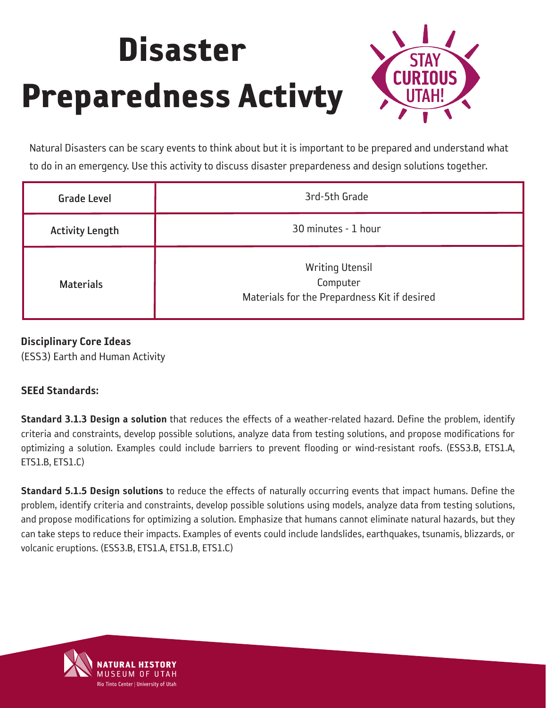

Natural Disasters can be scary events to think about but it is important to be prepared and understand what to do in an emergency. Use this activity to discuss disaster prepardeness and design solutions together.

| <b>Grade Level</b>     | 3rd-5th Grade                                                                      |
|------------------------|------------------------------------------------------------------------------------|
| <b>Activity Length</b> | 30 minutes - 1 hour                                                                |
| <b>Materials</b>       | <b>Writing Utensil</b><br>Computer<br>Materials for the Prepardness Kit if desired |

#### Disciplinary Core Ideas

(ESS3) Earth and Human Activity

#### SEEd Standards:

Standard 3.1.3 Design a solution that reduces the effects of a weather-related hazard. Define the problem, identify criteria and constraints, develop possible solutions, analyze data from testing solutions, and propose modifications for optimizing a solution. Examples could include barriers to prevent flooding or wind-resistant roofs. (ESS3.B, ETS1.A, ETS1.B, ETS1.C)

Standard 5.1.5 Design solutions to reduce the effects of naturally occurring events that impact humans. Define the problem, identify criteria and constraints, develop possible solutions using models, analyze data from testing solutions, and propose modifications for optimizing a solution. Emphasize that humans cannot eliminate natural hazards, but they can take steps to reduce their impacts. Examples of events could include landslides, earthquakes, tsunamis, blizzards, or volcanic eruptions. (ESS3.B, ETS1.A, ETS1.B, ETS1.C)

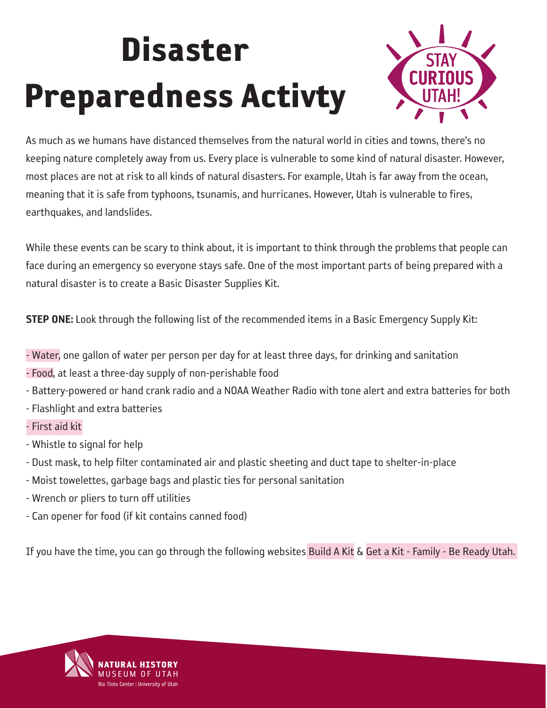

As much as we humans have distanced themselves from the natural world in cities and towns, there's no keeping nature completely away from us. Every place is vulnerable to some kind of natural disaster. However, most places are not at risk to all kinds of natural disasters. For example, Utah is far away from the ocean, meaning that it is safe from typhoons, tsunamis, and hurricanes. However, Utah is vulnerable to fires, earthquakes, and landslides.

While these events can be scary to think about, it is important to think through the problems that people can face during an emergency so everyone stays safe. One of the most important parts of being prepared with a natural disaster is to create a Basic Disaster Supplies Kit.

**STEP ONE:** Look through the following list of the recommended items in a Basic Emergency Supply Kit:

- [Water,](https://www.utah.gov/beready/family/water.html) one gallon of water per person per day for at least three days, for drinking and sanitation
- [Food,](https://www.utah.gov/beready/family/food.html) at least a three-day supply of non-perishable food
- Battery-powered or hand crank radio and a NOAA Weather Radio with tone alert and extra batteries for both
- Flashlight and extra batteries
- [First aid kit](http://www.ready.gov/kit)
- Whistle to signal for help
- Dust mask, to help filter contaminated air and plastic sheeting and duct tape to shelter-in-place
- Moist towelettes, garbage bags and plastic ties for personal sanitation
- Wrench or pliers to turn off utilities
- Can opener for food (if kit contains canned food)

If you have the time, you can go through the following websites [Build A Kit](https://www.ready.gov/kit) & Get a Kit - Family - Be Ready Utah.

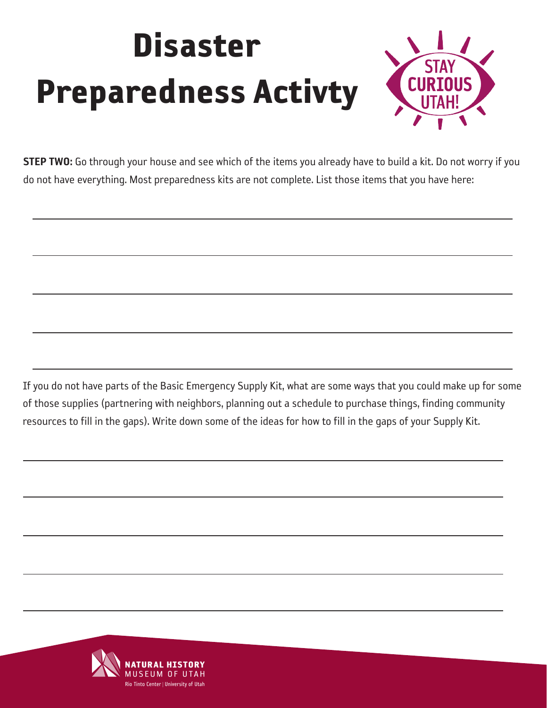

STEP TWO: Go through your house and see which of the items you already have to build a kit. Do not worry if you do not have everything. Most preparedness kits are not complete. List those items that you have here:

If you do not have parts of the Basic Emergency Supply Kit, what are some ways that you could make up for some of those supplies (partnering with neighbors, planning out a schedule to purchase things, finding community resources to fill in the gaps). Write down some of the ideas for how to fill in the gaps of your Supply Kit.